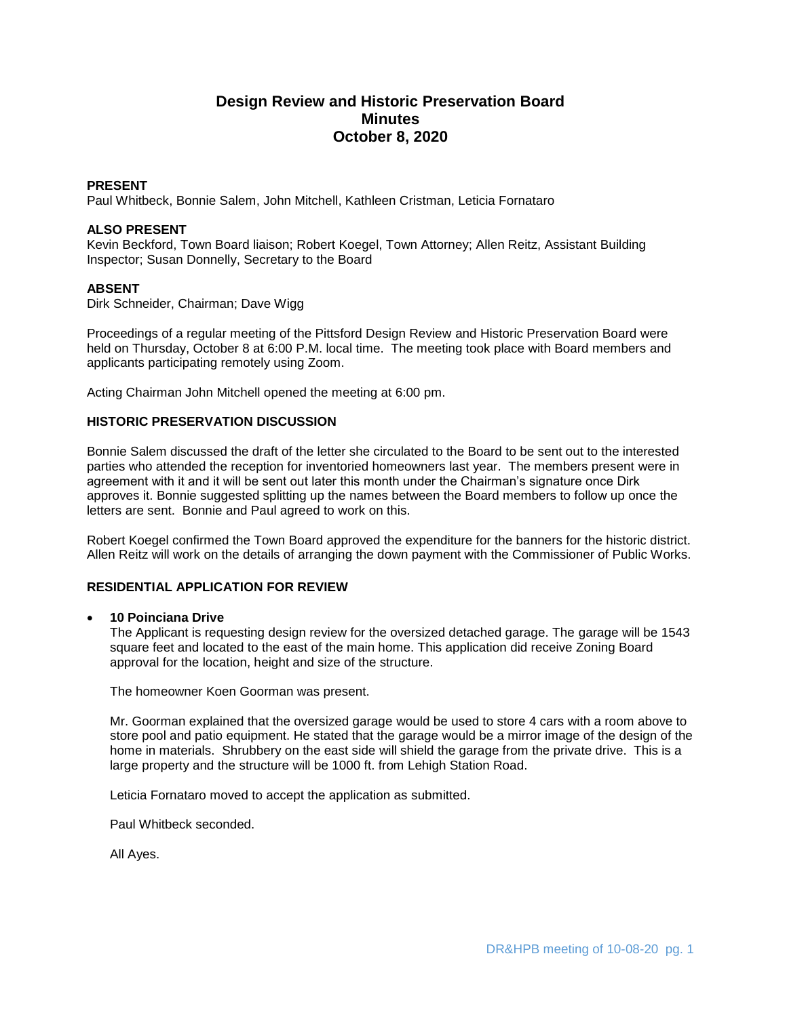# **Design Review and Historic Preservation Board Minutes October 8, 2020**

### **PRESENT**

Paul Whitbeck, Bonnie Salem, John Mitchell, Kathleen Cristman, Leticia Fornataro

#### **ALSO PRESENT**

Kevin Beckford, Town Board liaison; Robert Koegel, Town Attorney; Allen Reitz, Assistant Building Inspector; Susan Donnelly, Secretary to the Board

#### **ABSENT**

Dirk Schneider, Chairman; Dave Wigg

Proceedings of a regular meeting of the Pittsford Design Review and Historic Preservation Board were held on Thursday, October 8 at 6:00 P.M. local time. The meeting took place with Board members and applicants participating remotely using Zoom.

Acting Chairman John Mitchell opened the meeting at 6:00 pm.

#### **HISTORIC PRESERVATION DISCUSSION**

Bonnie Salem discussed the draft of the letter she circulated to the Board to be sent out to the interested parties who attended the reception for inventoried homeowners last year. The members present were in agreement with it and it will be sent out later this month under the Chairman's signature once Dirk approves it. Bonnie suggested splitting up the names between the Board members to follow up once the letters are sent. Bonnie and Paul agreed to work on this.

Robert Koegel confirmed the Town Board approved the expenditure for the banners for the historic district. Allen Reitz will work on the details of arranging the down payment with the Commissioner of Public Works.

### **RESIDENTIAL APPLICATION FOR REVIEW**

#### **10 Poinciana Drive**

The Applicant is requesting design review for the oversized detached garage. The garage will be 1543 square feet and located to the east of the main home. This application did receive Zoning Board approval for the location, height and size of the structure.

The homeowner Koen Goorman was present.

Mr. Goorman explained that the oversized garage would be used to store 4 cars with a room above to store pool and patio equipment. He stated that the garage would be a mirror image of the design of the home in materials. Shrubbery on the east side will shield the garage from the private drive. This is a large property and the structure will be 1000 ft. from Lehigh Station Road.

Leticia Fornataro moved to accept the application as submitted.

Paul Whitbeck seconded.

All Ayes.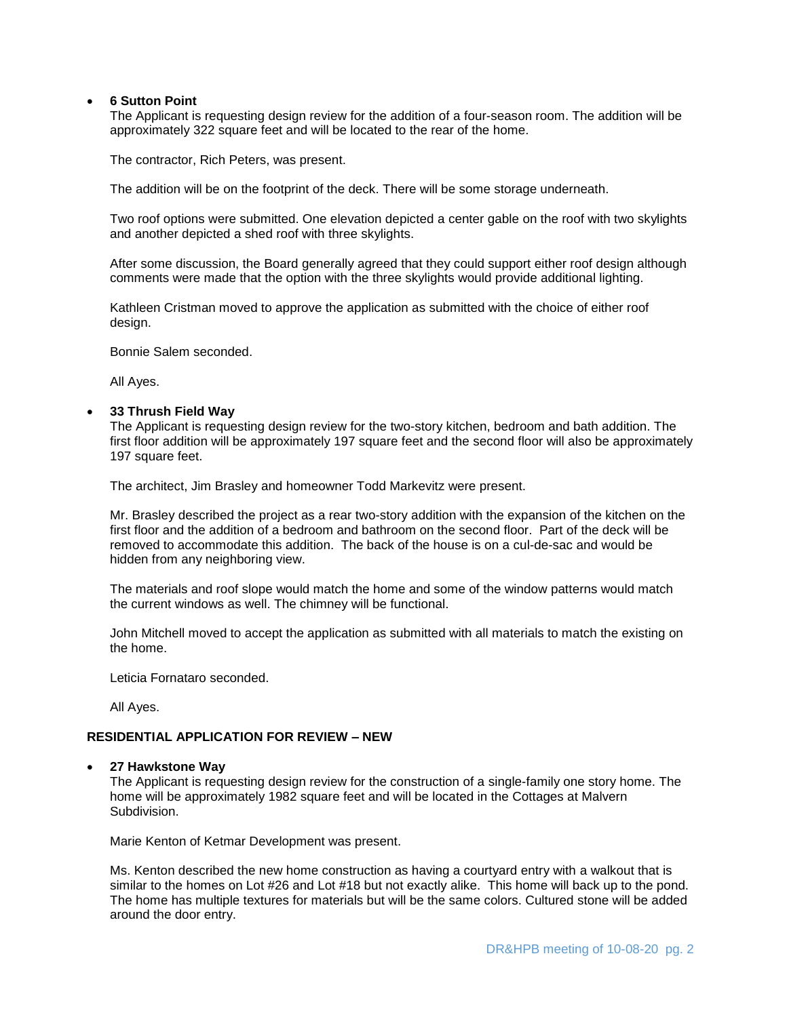#### **6 Sutton Point**

The Applicant is requesting design review for the addition of a four-season room. The addition will be approximately 322 square feet and will be located to the rear of the home.

The contractor, Rich Peters, was present.

The addition will be on the footprint of the deck. There will be some storage underneath.

Two roof options were submitted. One elevation depicted a center gable on the roof with two skylights and another depicted a shed roof with three skylights.

After some discussion, the Board generally agreed that they could support either roof design although comments were made that the option with the three skylights would provide additional lighting.

Kathleen Cristman moved to approve the application as submitted with the choice of either roof design.

Bonnie Salem seconded.

All Ayes.

#### **33 Thrush Field Way**

The Applicant is requesting design review for the two-story kitchen, bedroom and bath addition. The first floor addition will be approximately 197 square feet and the second floor will also be approximately 197 square feet.

The architect, Jim Brasley and homeowner Todd Markevitz were present.

Mr. Brasley described the project as a rear two-story addition with the expansion of the kitchen on the first floor and the addition of a bedroom and bathroom on the second floor. Part of the deck will be removed to accommodate this addition. The back of the house is on a cul-de-sac and would be hidden from any neighboring view.

The materials and roof slope would match the home and some of the window patterns would match the current windows as well. The chimney will be functional.

John Mitchell moved to accept the application as submitted with all materials to match the existing on the home.

Leticia Fornataro seconded.

All Ayes.

### **RESIDENTIAL APPLICATION FOR REVIEW – NEW**

#### **27 Hawkstone Way**

The Applicant is requesting design review for the construction of a single-family one story home. The home will be approximately 1982 square feet and will be located in the Cottages at Malvern Subdivision.

Marie Kenton of Ketmar Development was present.

Ms. Kenton described the new home construction as having a courtyard entry with a walkout that is similar to the homes on Lot #26 and Lot #18 but not exactly alike. This home will back up to the pond. The home has multiple textures for materials but will be the same colors. Cultured stone will be added around the door entry.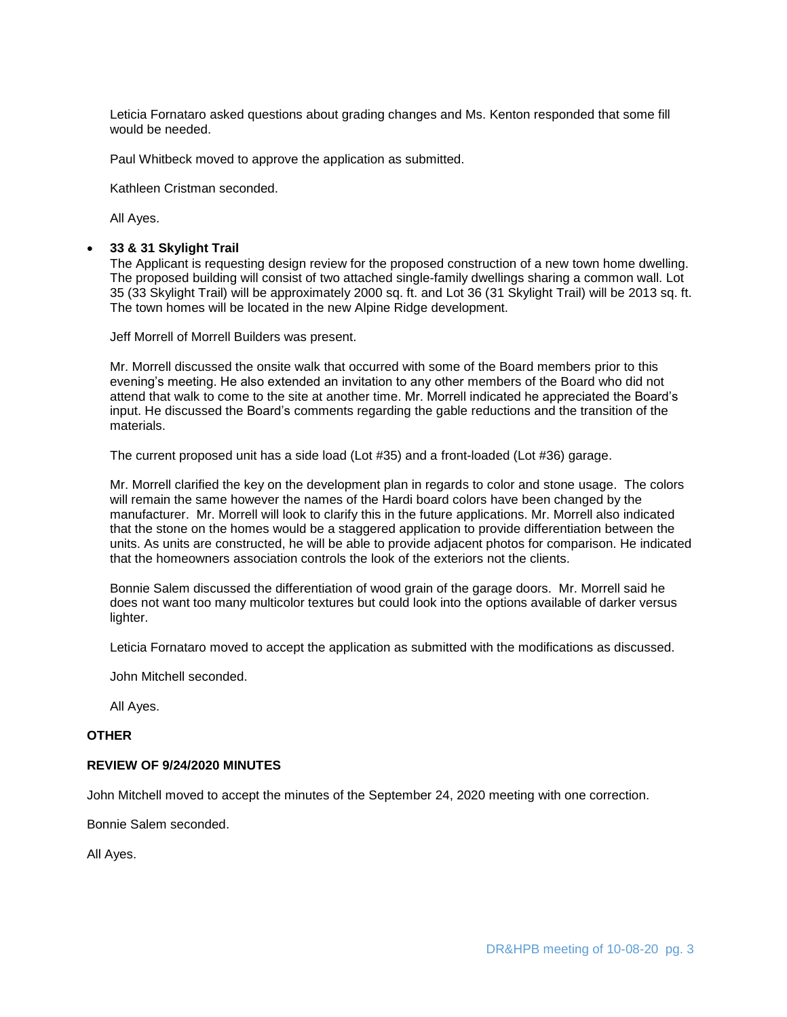Leticia Fornataro asked questions about grading changes and Ms. Kenton responded that some fill would be needed.

Paul Whitbeck moved to approve the application as submitted.

Kathleen Cristman seconded.

All Ayes.

#### **33 & 31 Skylight Trail**

The Applicant is requesting design review for the proposed construction of a new town home dwelling. The proposed building will consist of two attached single-family dwellings sharing a common wall. Lot 35 (33 Skylight Trail) will be approximately 2000 sq. ft. and Lot 36 (31 Skylight Trail) will be 2013 sq. ft. The town homes will be located in the new Alpine Ridge development.

Jeff Morrell of Morrell Builders was present.

Mr. Morrell discussed the onsite walk that occurred with some of the Board members prior to this evening's meeting. He also extended an invitation to any other members of the Board who did not attend that walk to come to the site at another time. Mr. Morrell indicated he appreciated the Board's input. He discussed the Board's comments regarding the gable reductions and the transition of the materials.

The current proposed unit has a side load (Lot #35) and a front-loaded (Lot #36) garage.

Mr. Morrell clarified the key on the development plan in regards to color and stone usage. The colors will remain the same however the names of the Hardi board colors have been changed by the manufacturer. Mr. Morrell will look to clarify this in the future applications. Mr. Morrell also indicated that the stone on the homes would be a staggered application to provide differentiation between the units. As units are constructed, he will be able to provide adjacent photos for comparison. He indicated that the homeowners association controls the look of the exteriors not the clients.

Bonnie Salem discussed the differentiation of wood grain of the garage doors. Mr. Morrell said he does not want too many multicolor textures but could look into the options available of darker versus lighter.

Leticia Fornataro moved to accept the application as submitted with the modifications as discussed.

John Mitchell seconded.

All Ayes.

#### **OTHER**

#### **REVIEW OF 9/24/2020 MINUTES**

John Mitchell moved to accept the minutes of the September 24, 2020 meeting with one correction.

Bonnie Salem seconded.

All Ayes.